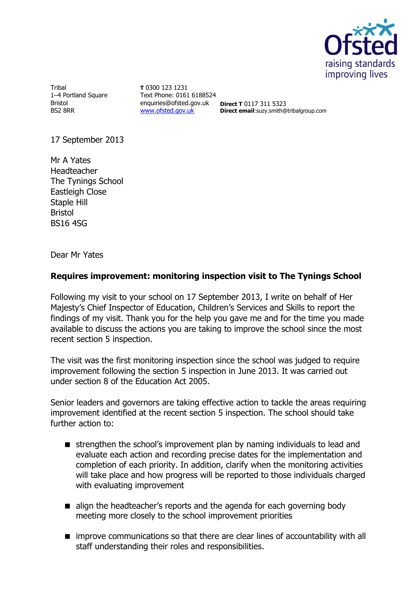

Tribal 1–4 Portland Square Bristol BS2 8RR

**T** 0300 123 1231 Text Phone: 0161 6188524 enquiries@ofsted.gov.uk **Direct T** 0117 311 5323 [www.ofsted.gov.uk](http://www.ofsted.gov.uk/)

**Direct email**:suzy.smith@tribalgroup.com

17 September 2013

Mr A Yates Headteacher The Tynings School Eastleigh Close Staple Hill Bristol BS16 4SG

Dear Mr Yates

# **Requires improvement: monitoring inspection visit to The Tynings School**

Following my visit to your school on 17 September 2013, I write on behalf of Her Majesty's Chief Inspector of Education, Children's Services and Skills to report the findings of my visit. Thank you for the help you gave me and for the time you made available to discuss the actions you are taking to improve the school since the most recent section 5 inspection.

The visit was the first monitoring inspection since the school was judged to require improvement following the section 5 inspection in June 2013. It was carried out under section 8 of the Education Act 2005.

Senior leaders and governors are taking effective action to tackle the areas requiring improvement identified at the recent section 5 inspection. The school should take further action to:

- strengthen the school's improvement plan by naming individuals to lead and evaluate each action and recording precise dates for the implementation and completion of each priority. In addition, clarify when the monitoring activities will take place and how progress will be reported to those individuals charged with evaluating improvement
- align the headteacher's reports and the agenda for each governing body meeting more closely to the school improvement priorities
- **n** improve communications so that there are clear lines of accountability with all staff understanding their roles and responsibilities.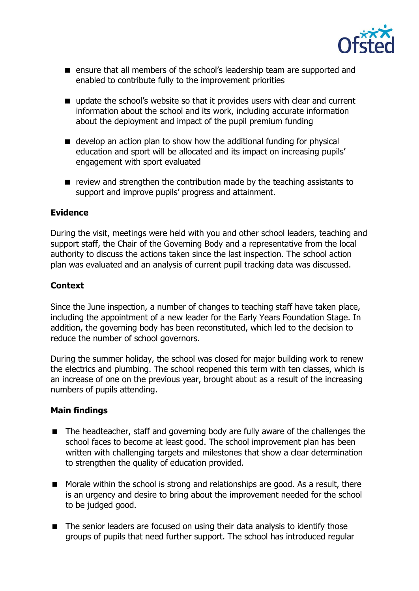

- **E** ensure that all members of the school's leadership team are supported and enabled to contribute fully to the improvement priorities
- update the school's website so that it provides users with clear and current information about the school and its work, including accurate information about the deployment and impact of the pupil premium funding
- develop an action plan to show how the additional funding for physical education and sport will be allocated and its impact on increasing pupils' engagement with sport evaluated
- $\blacksquare$  review and strengthen the contribution made by the teaching assistants to support and improve pupils' progress and attainment.

# **Evidence**

During the visit, meetings were held with you and other school leaders, teaching and support staff, the Chair of the Governing Body and a representative from the local authority to discuss the actions taken since the last inspection. The school action plan was evaluated and an analysis of current pupil tracking data was discussed.

# **Context**

Since the June inspection, a number of changes to teaching staff have taken place, including the appointment of a new leader for the Early Years Foundation Stage. In addition, the governing body has been reconstituted, which led to the decision to reduce the number of school governors.

During the summer holiday, the school was closed for major building work to renew the electrics and plumbing. The school reopened this term with ten classes, which is an increase of one on the previous year, brought about as a result of the increasing numbers of pupils attending.

## **Main findings**

- The headteacher, staff and governing body are fully aware of the challenges the school faces to become at least good. The school improvement plan has been written with challenging targets and milestones that show a clear determination to strengthen the quality of education provided.
- Morale within the school is strong and relationships are good. As a result, there is an urgency and desire to bring about the improvement needed for the school to be judged good.
- The senior leaders are focused on using their data analysis to identify those groups of pupils that need further support. The school has introduced regular